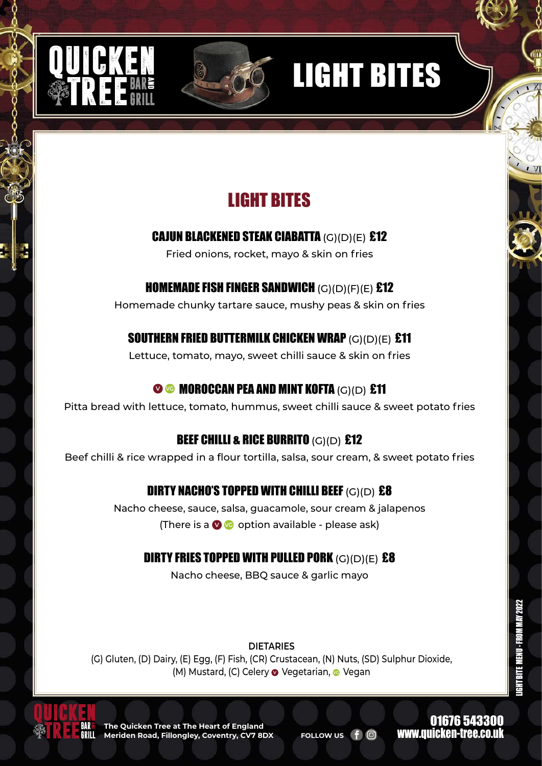







CAJUN BLACKENED STEAK CIABATTA (G)(D)(E) £12

Fried onions, rocket, mayo & skin on fries

### HOMEMADE FISH FINGER SANDWICH (G)(D)(F)(E) £12

Homemade chunky tartare sauce, mushy peas & skin on fries

## SOUTHERN FRIED BUTTERMILK CHICKEN WRAP (G)(D)(E) £11

Lettuce, tomato, mayo, sweet chilli sauce & skin on fries

## **<sup>O</sup> G</del> MOROCCAN PEA AND MINT KOFTA (G)(D) £11**

Pitta bread with lettuce, tomato, hummus, sweet chilli sauce & sweet potato fries

## **BEEF CHILLI & RICE BURRITO (G)(D) £12**

Beef chilli & rice wrapped in a flour tortilla, salsa, sour cream, & sweet potato fries

## DIRTY NACHO'S TOPPED WITH CHILLI BEEF (G)(D) £8

Nacho cheese, sauce, salsa, guacamole, sour cream & jalapenos (There is a **V VG** option available - please ask)

## DIRTY FRIES TOPPED WITH PULLED PORK  $(G)(D)(E)$  £8

Nacho cheese, BBQ sauce & garlic mayo

**DIETARIES**

(G) Gluten, (D) Dairy, (E) Egg, (F) Fish, (CR) Crustacean, (N) Nuts, (SD) Sulphur Dioxide, (M) Mustard, (C) Celery **O** Vegetarian, **O** Vegan



**The Quicken Tree at The Heart of England Meriden Road, Fillongley, Coventry, CV7 8DX FOLLOW US** 

01676 543300 www.quicken-tree.co.uk